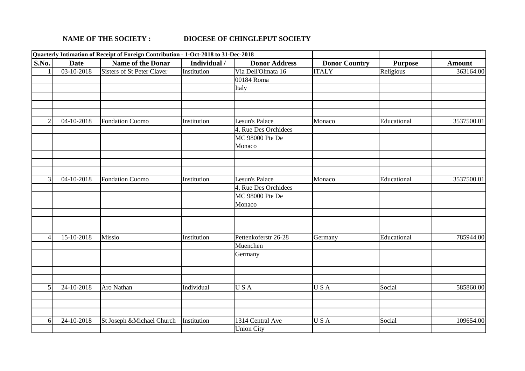## **NAME OF THE SOCIETY : DIOCESE OF CHINGLEPUT SOCIETY**

|       | Quarterly Intimation of Receipt of Foreign Contribution - 1-Oct-2018 to 31-Dec-2018 |                            |              |                      |                      |                |               |
|-------|-------------------------------------------------------------------------------------|----------------------------|--------------|----------------------|----------------------|----------------|---------------|
| S.No. | <b>Date</b>                                                                         | Name of the Donar          | Individual / | <b>Donor Address</b> | <b>Donor Country</b> | <b>Purpose</b> | <b>Amount</b> |
|       | 03-10-2018                                                                          | Sisters of St Peter Claver | Institution  | Via Dell'Olmata 16   | <b>TTALY</b>         | Religious      | 363164.00     |
|       |                                                                                     |                            |              | 00184 Roma           |                      |                |               |
|       |                                                                                     |                            |              | Italy                |                      |                |               |
|       |                                                                                     |                            |              |                      |                      |                |               |
|       |                                                                                     |                            |              |                      |                      |                |               |
|       |                                                                                     |                            |              |                      |                      |                |               |
|       | 04-10-2018                                                                          | <b>Fondation Cuomo</b>     | Institution  | Lesun's Palace       | Monaco               | Educational    | 3537500.01    |
|       |                                                                                     |                            |              | 4, Rue Des Orchidees |                      |                |               |
|       |                                                                                     |                            |              | MC 98000 Pte De      |                      |                |               |
|       |                                                                                     |                            |              | Monaco               |                      |                |               |
|       |                                                                                     |                            |              |                      |                      |                |               |
|       |                                                                                     |                            |              |                      |                      |                |               |
|       |                                                                                     |                            |              |                      |                      |                |               |
|       | 04-10-2018                                                                          | <b>Fondation Cuomo</b>     | Institution  | Lesun's Palace       | Monaco               | Educational    | 3537500.01    |
|       |                                                                                     |                            |              | 4, Rue Des Orchidees |                      |                |               |
|       |                                                                                     |                            |              | MC 98000 Pte De      |                      |                |               |
|       |                                                                                     |                            |              | Monaco               |                      |                |               |
|       |                                                                                     |                            |              |                      |                      |                |               |
|       |                                                                                     |                            |              |                      |                      |                |               |
|       |                                                                                     |                            |              |                      |                      |                |               |
|       | 15-10-2018                                                                          | Missio                     | Institution  | Pettenkoferstr 26-28 | Germany              | Educational    | 785944.00     |
|       |                                                                                     |                            |              | Muenchen             |                      |                |               |
|       |                                                                                     |                            |              | Germany              |                      |                |               |
|       |                                                                                     |                            |              |                      |                      |                |               |
|       |                                                                                     |                            |              |                      |                      |                |               |
|       |                                                                                     |                            |              |                      |                      |                |               |
|       | 24-10-2018                                                                          | Aro Nathan                 | Individual   | USA                  | USA                  | Social         | 585860.00     |
|       |                                                                                     |                            |              |                      |                      |                |               |
|       |                                                                                     |                            |              |                      |                      |                |               |
|       |                                                                                     |                            |              |                      |                      |                |               |
| 6     | 24-10-2018                                                                          | St Joseph & Michael Church | Institution  | 1314 Central Ave     | USA                  | Social         | 109654.00     |
|       |                                                                                     |                            |              | <b>Union City</b>    |                      |                |               |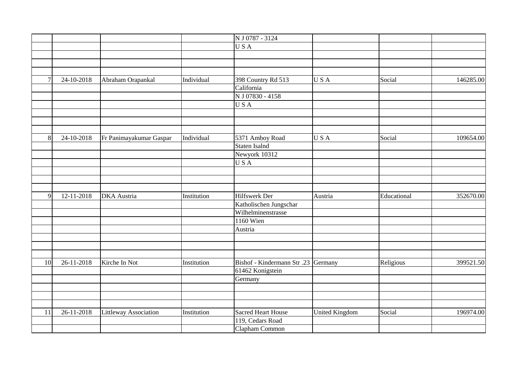|        |            |                              |             | N J 0787 - 3124                     |                       |             |           |
|--------|------------|------------------------------|-------------|-------------------------------------|-----------------------|-------------|-----------|
|        |            |                              |             | USA                                 |                       |             |           |
|        |            |                              |             |                                     |                       |             |           |
|        |            |                              |             |                                     |                       |             |           |
|        |            |                              |             |                                     |                       |             |           |
| $\tau$ | 24-10-2018 | Abraham Orapankal            | Individual  | 398 Country Rd 513                  | USA                   | Social      | 146285.00 |
|        |            |                              |             | California                          |                       |             |           |
|        |            |                              |             | N J 07830 - 4158                    |                       |             |           |
|        |            |                              |             | USA                                 |                       |             |           |
|        |            |                              |             |                                     |                       |             |           |
|        |            |                              |             |                                     |                       |             |           |
|        |            |                              |             |                                     |                       |             |           |
| 8      | 24-10-2018 | Fr Panimayakumar Gaspar      | Individual  | 5371 Amboy Road                     | USA                   | Social      | 109654.00 |
|        |            |                              |             | Staten Isalnd                       |                       |             |           |
|        |            |                              |             | Newyork 10312                       |                       |             |           |
|        |            |                              |             | USA                                 |                       |             |           |
|        |            |                              |             |                                     |                       |             |           |
|        |            |                              |             |                                     |                       |             |           |
|        |            |                              |             |                                     |                       |             |           |
| 9      | 12-11-2018 | <b>DKA</b> Austria           | Institution | Hilfswerk Der                       | Austria               | Educational | 352670.00 |
|        |            |                              |             | Katholischen Jungschar              |                       |             |           |
|        |            |                              |             | Wilhelminenstrasse                  |                       |             |           |
|        |            |                              |             | <b>1160 Wien</b>                    |                       |             |           |
|        |            |                              |             | Austria                             |                       |             |           |
|        |            |                              |             |                                     |                       |             |           |
|        |            |                              |             |                                     |                       |             |           |
|        |            |                              |             |                                     |                       |             |           |
| 10     | 26-11-2018 | Kirche In Not                | Institution | Bishof - Kindermann Str .23 Germany |                       | Religious   | 399521.50 |
|        |            |                              |             | 61462 Konigstein                    |                       |             |           |
|        |            |                              |             | Germany                             |                       |             |           |
|        |            |                              |             |                                     |                       |             |           |
|        |            |                              |             |                                     |                       |             |           |
|        |            |                              |             |                                     |                       |             |           |
| 11     | 26-11-2018 | <b>Littleway Association</b> | Institution | <b>Sacred Heart House</b>           | <b>United Kingdom</b> | Social      | 196974.00 |
|        |            |                              |             | 119, Cedars Road                    |                       |             |           |
|        |            |                              |             | Clapham Common                      |                       |             |           |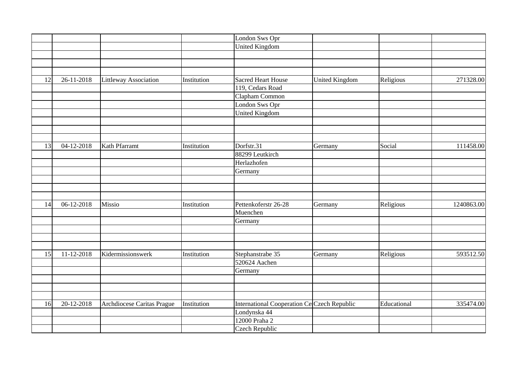|    |            |                              |             | London Sws Opr                                     |                       |             |            |
|----|------------|------------------------------|-------------|----------------------------------------------------|-----------------------|-------------|------------|
|    |            |                              |             | <b>United Kingdom</b>                              |                       |             |            |
|    |            |                              |             |                                                    |                       |             |            |
|    |            |                              |             |                                                    |                       |             |            |
|    |            |                              |             |                                                    |                       |             |            |
| 12 | 26-11-2018 | <b>Littleway Association</b> | Institution | <b>Sacred Heart House</b>                          | <b>United Kingdom</b> | Religious   | 271328.00  |
|    |            |                              |             | 119, Cedars Road                                   |                       |             |            |
|    |            |                              |             | Clapham Common                                     |                       |             |            |
|    |            |                              |             | London Sws Opr                                     |                       |             |            |
|    |            |                              |             | <b>United Kingdom</b>                              |                       |             |            |
|    |            |                              |             |                                                    |                       |             |            |
|    |            |                              |             |                                                    |                       |             |            |
|    |            |                              |             |                                                    |                       |             |            |
| 13 | 04-12-2018 | Kath Pfarramt                | Institution | Dorfstr.31                                         | Germany               | Social      | 111458.00  |
|    |            |                              |             | 88299 Leutkirch                                    |                       |             |            |
|    |            |                              |             | Herlazhofen                                        |                       |             |            |
|    |            |                              |             | Germany                                            |                       |             |            |
|    |            |                              |             |                                                    |                       |             |            |
|    |            |                              |             |                                                    |                       |             |            |
|    |            |                              |             |                                                    |                       |             |            |
| 14 | 06-12-2018 | Missio                       | Institution | Pettenkoferstr 26-28                               | Germany               | Religious   | 1240863.00 |
|    |            |                              |             | Muenchen                                           |                       |             |            |
|    |            |                              |             | Germany                                            |                       |             |            |
|    |            |                              |             |                                                    |                       |             |            |
|    |            |                              |             |                                                    |                       |             |            |
|    |            |                              |             |                                                    |                       |             |            |
| 15 | 11-12-2018 | Kidermissionswerk            | Institution | Stephanstrabe 35                                   | Germany               | Religious   | 593512.50  |
|    |            |                              |             | 520624 Aachen                                      |                       |             |            |
|    |            |                              |             | Germany                                            |                       |             |            |
|    |            |                              |             |                                                    |                       |             |            |
|    |            |                              |             |                                                    |                       |             |            |
|    |            |                              |             |                                                    |                       |             |            |
| 16 | 20-12-2018 | Archdiocese Caritas Prague   | Institution | <b>International Cooperation Ce Czech Republic</b> |                       | Educational | 335474.00  |
|    |            |                              |             | Londynska 44                                       |                       |             |            |
|    |            |                              |             | 12000 Praha 2                                      |                       |             |            |
|    |            |                              |             | Czech Republic                                     |                       |             |            |